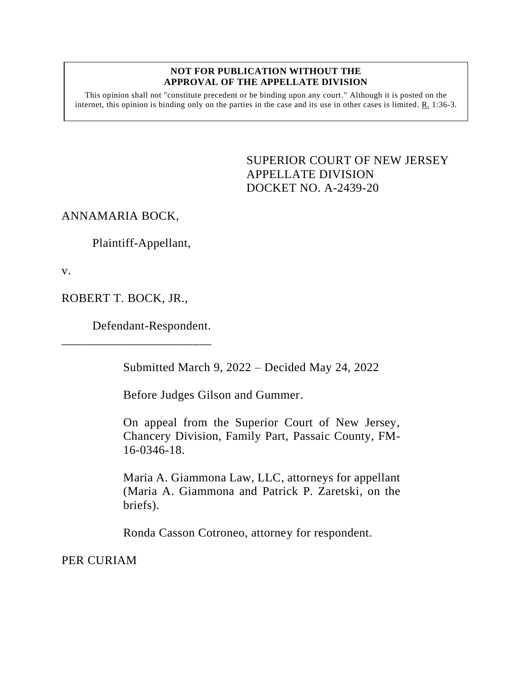## **NOT FOR PUBLICATION WITHOUT THE APPROVAL OF THE APPELLATE DIVISION**

This opinion shall not "constitute precedent or be binding upon any court." Although it is posted on the internet, this opinion is binding only on the parties in the case and its use in other cases is limited. R. 1:36-3.

> <span id="page-0-0"></span>SUPERIOR COURT OF NEW JERSEY APPELLATE DIVISION DOCKET NO. A-2439-20

ANNAMARIA BOCK,

Plaintiff-Appellant,

v.

ROBERT T. BOCK, JR.,

Defendant-Respondent.

\_\_\_\_\_\_\_\_\_\_\_\_\_\_\_\_\_\_\_\_\_\_\_\_

Submitted March 9, 2022 – Decided May 24, 2022

Before Judges Gilson and Gummer.

On appeal from the Superior Court of New Jersey, Chancery Division, Family Part, Passaic County, FM-16-0346-18.

Maria A. Giammona Law, LLC, attorneys for appellant (Maria A. Giammona and Patrick P. Zaretski, on the briefs).

Ronda Casson Cotroneo, attorney for respondent.

PER CURIAM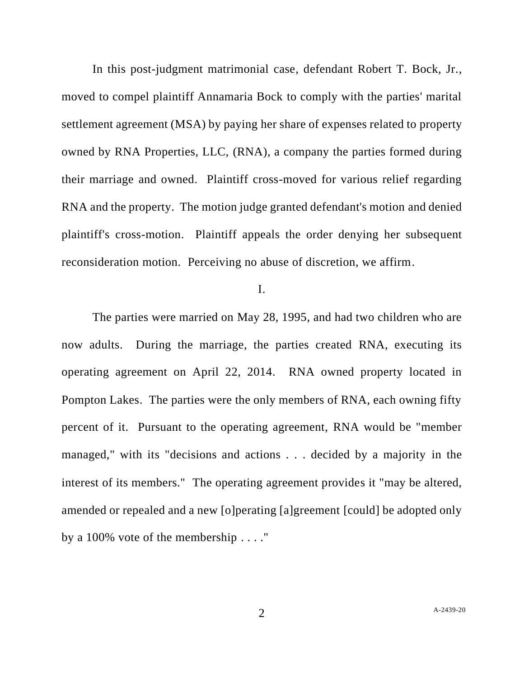In this post-judgment matrimonial case, defendant Robert T. Bock, Jr., moved to compel plaintiff Annamaria Bock to comply with the parties' marital settlement agreement (MSA) by paying her share of expenses related to property owned by RNA Properties, LLC, (RNA), a company the parties formed during their marriage and owned. Plaintiff cross-moved for various relief regarding RNA and the property. The motion judge granted defendant's motion and denied plaintiff's cross-motion. Plaintiff appeals the order denying her subsequent reconsideration motion. Perceiving no abuse of discretion, we affirm.

## I.

The parties were married on May 28, 1995, and had two children who are now adults. During the marriage, the parties created RNA, executing its operating agreement on April 22, 2014. RNA owned property located in Pompton Lakes. The parties were the only members of RNA, each owning fifty percent of it. Pursuant to the operating agreement, RNA would be "member managed," with its "decisions and actions . . . decided by a majority in the interest of its members." The operating agreement provides it "may be altered, amended or repealed and a new [o]perating [a]greement [could] be adopted only by a 100% vote of the membership . . . ."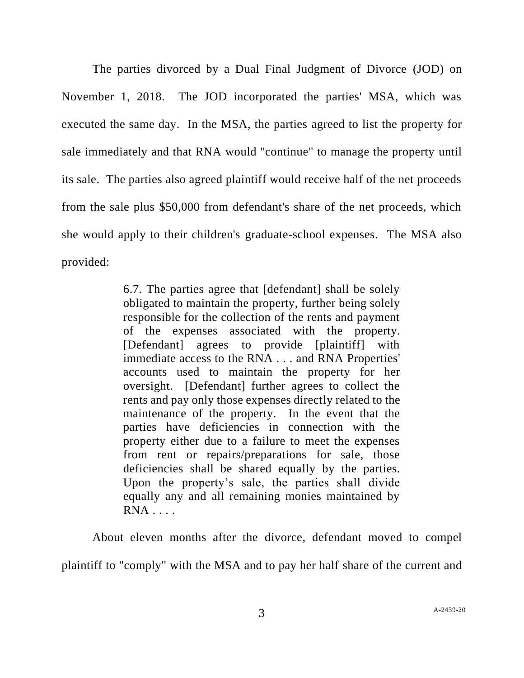The parties divorced by a Dual Final Judgment of Divorce (JOD) on November 1, 2018. The JOD incorporated the parties' MSA, which was executed the same day. In the MSA, the parties agreed to list the property for sale immediately and that RNA would "continue" to manage the property until its sale. The parties also agreed plaintiff would receive half of the net proceeds from the sale plus \$50,000 from defendant's share of the net proceeds, which she would apply to their children's graduate-school expenses. The MSA also provided:

> 6.7. The parties agree that [defendant] shall be solely obligated to maintain the property, further being solely responsible for the collection of the rents and payment of the expenses associated with the property. [Defendant] agrees to provide [plaintiff] with immediate access to the RNA . . . and RNA Properties' accounts used to maintain the property for her oversight. [Defendant] further agrees to collect the rents and pay only those expenses directly related to the maintenance of the property. In the event that the parties have deficiencies in connection with the property either due to a failure to meet the expenses from rent or repairs/preparations for sale, those deficiencies shall be shared equally by the parties. Upon the property's sale, the parties shall divide equally any and all remaining monies maintained by  $RNA$  . . . .

About eleven months after the divorce, defendant moved to compel plaintiff to "comply" with the MSA and to pay her half share of the current and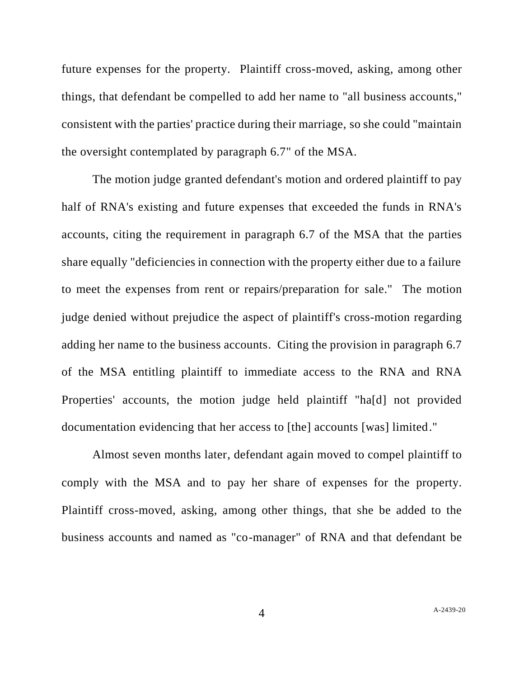future expenses for the property. Plaintiff cross-moved, asking, among other things, that defendant be compelled to add her name to "all business accounts," consistent with the parties' practice during their marriage, so she could "maintain the oversight contemplated by paragraph 6.7" of the MSA.

The motion judge granted defendant's motion and ordered plaintiff to pay half of RNA's existing and future expenses that exceeded the funds in RNA's accounts, citing the requirement in paragraph 6.7 of the MSA that the parties share equally "deficiencies in connection with the property either due to a failure to meet the expenses from rent or repairs/preparation for sale." The motion judge denied without prejudice the aspect of plaintiff's cross-motion regarding adding her name to the business accounts. Citing the provision in paragraph 6.7 of the MSA entitling plaintiff to immediate access to the RNA and RNA Properties' accounts, the motion judge held plaintiff "ha[d] not provided documentation evidencing that her access to [the] accounts [was] limited."

Almost seven months later, defendant again moved to compel plaintiff to comply with the MSA and to pay her share of expenses for the property. Plaintiff cross-moved, asking, among other things, that she be added to the business accounts and named as "co-manager" of RNA and that defendant be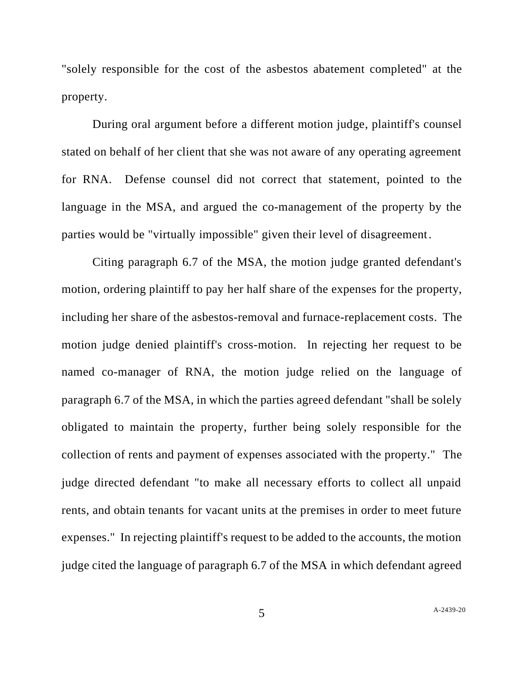"solely responsible for the cost of the asbestos abatement completed" at the property.

During oral argument before a different motion judge, plaintiff's counsel stated on behalf of her client that she was not aware of any operating agreement for RNA. Defense counsel did not correct that statement, pointed to the language in the MSA, and argued the co-management of the property by the parties would be "virtually impossible" given their level of disagreement.

Citing paragraph 6.7 of the MSA, the motion judge granted defendant's motion, ordering plaintiff to pay her half share of the expenses for the property, including her share of the asbestos-removal and furnace-replacement costs. The motion judge denied plaintiff's cross-motion. In rejecting her request to be named co-manager of RNA, the motion judge relied on the language of paragraph 6.7 of the MSA, in which the parties agreed defendant "shall be solely obligated to maintain the property, further being solely responsible for the collection of rents and payment of expenses associated with the property." The judge directed defendant "to make all necessary efforts to collect all unpaid rents, and obtain tenants for vacant units at the premises in order to meet future expenses." In rejecting plaintiff's request to be added to the accounts, the motion judge cited the language of paragraph 6.7 of the MSA in which defendant agreed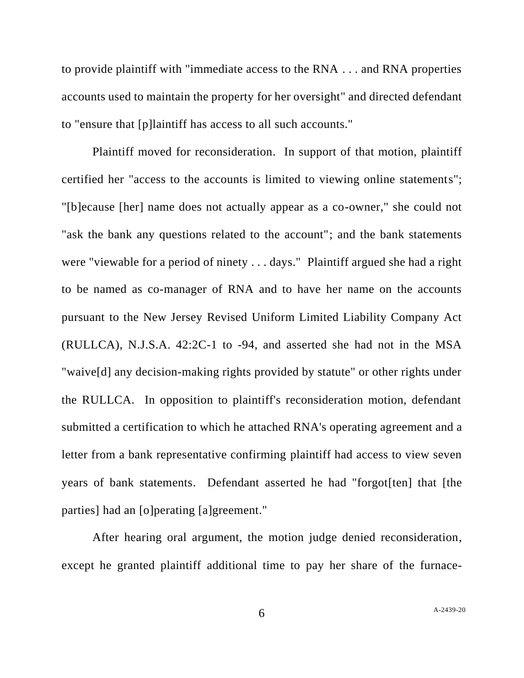to provide plaintiff with "immediate access to the RNA . . . and RNA properties accounts used to maintain the property for her oversight" and directed defendant to "ensure that [p]laintiff has access to all such accounts."

Plaintiff moved for reconsideration. In support of that motion, plaintiff certified her "access to the accounts is limited to viewing online statements"; "[b]ecause [her] name does not actually appear as a co-owner," she could not "ask the bank any questions related to the account"; and the bank statements were "viewable for a period of ninety . . . days." Plaintiff argued she had a right to be named as co-manager of RNA and to have her name on the accounts pursuant to the New Jersey Revised Uniform Limited Liability Company Act (RULLCA), N.J.S.A. 42:2C-1 to -94, and asserted she had not in the MSA "waive[d] any decision-making rights provided by statute" or other rights under the RULLCA. In opposition to plaintiff's reconsideration motion, defendant submitted a certification to which he attached RNA's operating agreement and a letter from a bank representative confirming plaintiff had access to view seven years of bank statements. Defendant asserted he had "forgot[ten] that [the parties] had an [o]perating [a]greement."

After hearing oral argument, the motion judge denied reconsideration, except he granted plaintiff additional time to pay her share of the furnace-

6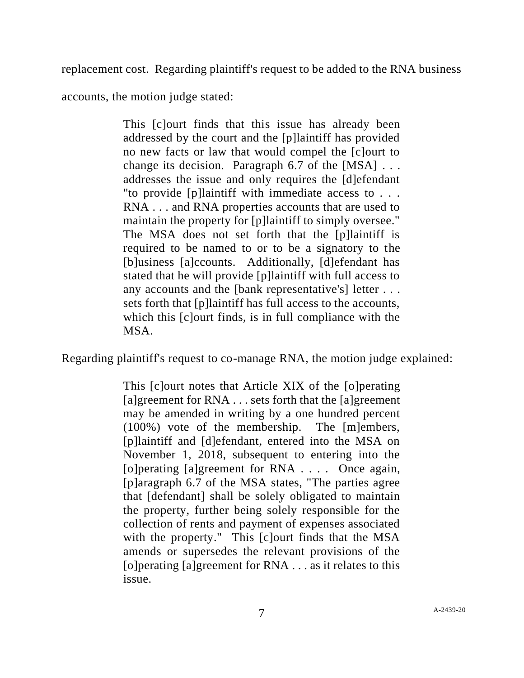replacement cost. Regarding plaintiff's request to be added to the RNA business

accounts, the motion judge stated:

This [c]ourt finds that this issue has already been addressed by the court and the [p]laintiff has provided no new facts or law that would compel the [c]ourt to change its decision. Paragraph  $6.7$  of the [MSA]  $\ldots$ addresses the issue and only requires the [d]efendant "to provide [p]laintiff with immediate access to . . . RNA . . . and RNA properties accounts that are used to maintain the property for [p]laintiff to simply oversee." The MSA does not set forth that the [p]laintiff is required to be named to or to be a signatory to the [b]usiness [a]ccounts. Additionally, [d]efendant has stated that he will provide [p]laintiff with full access to any accounts and the [bank representative's] letter . . . sets forth that [p]laintiff has full access to the accounts, which this [c]ourt finds, is in full compliance with the MSA.

Regarding plaintiff's request to co-manage RNA, the motion judge explained:

This [c]ourt notes that Article XIX of the [o]perating [a]greement for RNA . . . sets forth that the [a]greement may be amended in writing by a one hundred percent (100%) vote of the membership. The [m]embers, [p]laintiff and [d]efendant, entered into the MSA on November 1, 2018, subsequent to entering into the [o]perating [a]greement for RNA . . . . Once again, [p]aragraph 6.7 of the MSA states, "The parties agree that [defendant] shall be solely obligated to maintain the property, further being solely responsible for the collection of rents and payment of expenses associated with the property." This [c]ourt finds that the MSA amends or supersedes the relevant provisions of the [o] perating [a] greement for  $RNA \dots$  as it relates to this issue.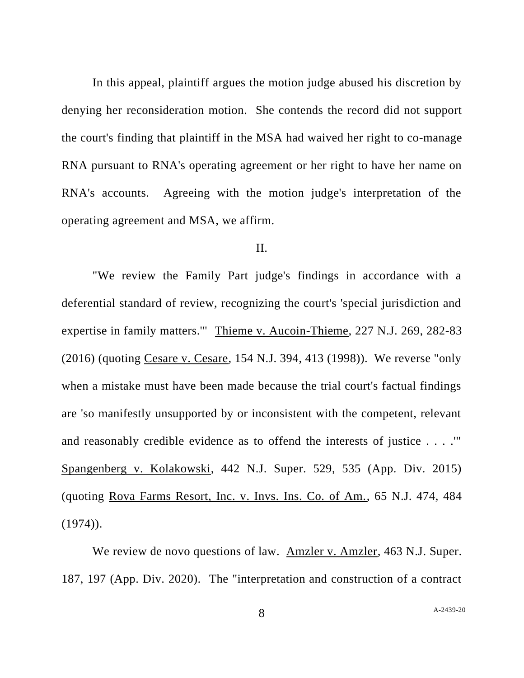In this appeal, plaintiff argues the motion judge abused his discretion by denying her reconsideration motion. She contends the record did not support the court's finding that plaintiff in the MSA had waived her right to co-manage RNA pursuant to RNA's operating agreement or her right to have her name on RNA's accounts. Agreeing with the motion judge's interpretation of the operating agreement and MSA, we affirm.

## II.

"We review the Family Part judge's findings in accordance with a deferential standard of review, recognizing the court's 'special jurisdiction and expertise in family matters.'" Thieme v. Aucoin-Thieme, 227 N.J. 269, 282-83 (2016) (quoting Cesare v. Cesare, 154 N.J. 394, 413 (1998)). We reverse "only when a mistake must have been made because the trial court's factual findings are 'so manifestly unsupported by or inconsistent with the competent, relevant and reasonably credible evidence as to offend the interests of justice . . . .'" Spangenberg v. Kolakowski, 442 N.J. Super. 529, 535 (App. Div. 2015) (quoting Rova Farms Resort, Inc. v. Invs. Ins. Co. of Am., 65 N.J. 474, 484  $(1974)$ .

We review de novo questions of law. Amzler v. Amzler, 463 N.J. Super. 187, 197 (App. Div. 2020). The "interpretation and construction of a contract

8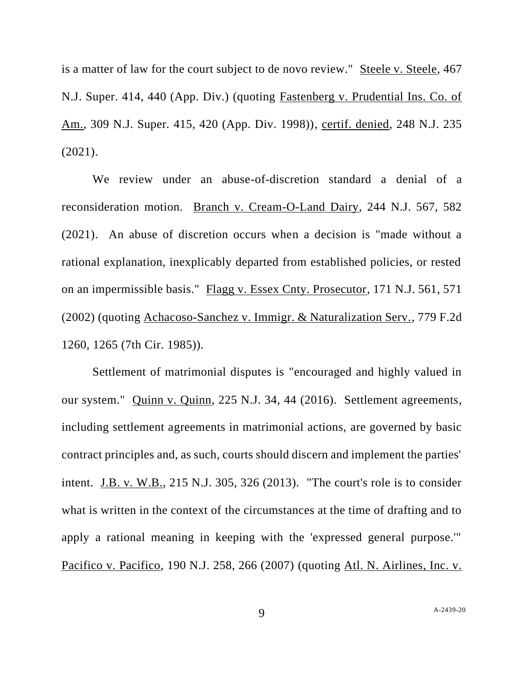is a matter of law for the court subject to de novo review." Steele v. Steele, 467 N.J. Super. 414, 440 (App. Div.) (quoting Fastenberg v. Prudential Ins. Co. of Am., 309 N.J. Super. 415, 420 (App. Div. 1998)), certif. denied, 248 N.J. 235 (2021).

We review under an abuse-of-discretion standard a denial of a reconsideration motion. Branch v. Cream-O-Land Dairy, 244 N.J. 567, 582 (2021). An abuse of discretion occurs when a decision is "made without a rational explanation, inexplicably departed from established policies, or rested on an impermissible basis." Flagg v. Essex Cnty. Prosecutor, 171 N.J. 561, 571 (2002) (quoting Achacoso-Sanchez v. Immigr. & Naturalization Serv., 779 F.2d 1260, 1265 (7th Cir. 1985)).

Settlement of matrimonial disputes is "encouraged and highly valued in our system." Quinn v. Quinn, 225 N.J. 34, 44 (2016). Settlement agreements, including settlement agreements in matrimonial actions, are governed by basic contract principles and, as such, courts should discern and implement the parties' intent. J.B. v. W.B., 215 N.J. 305, 326 (2013). "The court's role is to consider what is written in the context of the circumstances at the time of drafting and to apply a rational meaning in keeping with the 'expressed general purpose.'" Pacifico v. Pacifico, 190 N.J. 258, 266 (2007) (quoting Atl. N. Airlines, Inc. v.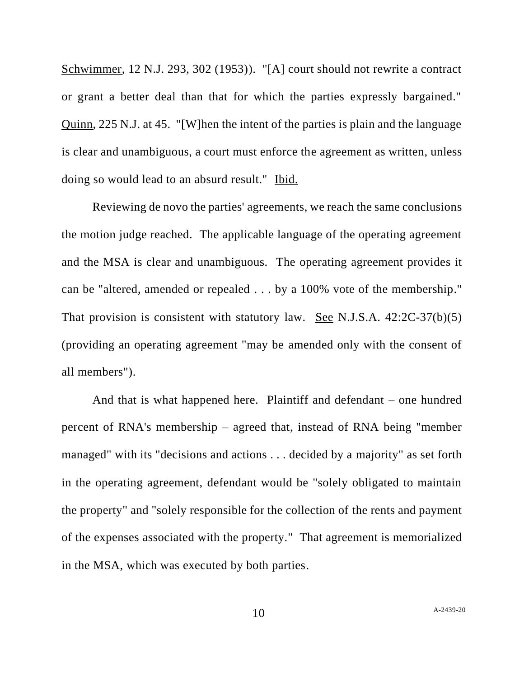Schwimmer, 12 N.J. 293, 302 (1953)). "[A] court should not rewrite a contract or grant a better deal than that for which the parties expressly bargained." Quinn, 225 N.J. at 45. "[W]hen the intent of the parties is plain and the language is clear and unambiguous, a court must enforce the agreement as written, unless doing so would lead to an absurd result." Ibid.

Reviewing de novo the parties' agreements, we reach the same conclusions the motion judge reached. The applicable language of the operating agreement and the MSA is clear and unambiguous. The operating agreement provides it can be "altered, amended or repealed . . . by a 100% vote of the membership." That provision is consistent with statutory law. See N.J.S.A. 42:2C-37(b)(5) (providing an operating agreement "may be amended only with the consent of all members").

And that is what happened here. Plaintiff and defendant – one hundred percent of RNA's membership – agreed that, instead of RNA being "member managed" with its "decisions and actions . . . decided by a majority" as set forth in the operating agreement, defendant would be "solely obligated to maintain the property" and "solely responsible for the collection of the rents and payment of the expenses associated with the property." That agreement is memorialized in the MSA, which was executed by both parties.